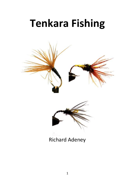# **Tenkara Fishing**





## Richard Adeney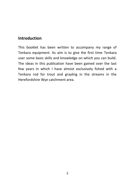## **Introduction**

This booklet has been written to accompany my range of Tenkara equipment. Its aim is to give the first time Tenkara user some basic skills and knowledge on which you can build. The ideas in this publication have been gained over the last few years in which I have almost exclusively fished with a Tenkara rod for trout and grayling in the streams in the Herefordshire Wye catchment area.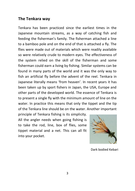#### **The Tenkara way**

Tenkara has been practiced since the earliest times in the Japanese mountain streams, as a way of catching fish and feeding the fisherman's family. The fisherman attached a line to a bamboo pole and on the end of that is attached a fly. The flies were made out of materials which were readily available so were relatively crude to modern eyes. The effectiveness of the system relied on the skill of the fisherman and some fisherman could earn a living by fishing. Similar systems can be found in many parts of the world and it was the only way to fish an artificial fly before the advent of the reel. Tenkara in Japanese literally means 'from heaven'. In recent years it has been taken up by sport fishers in Japan, the USA, Europe and other parts of the developed world. The essence of Tenkara is to present a single fly with the minimum amount of line on the water. In practice this means that only the tippet and the tip of the Tenkara line should be on the water. Another important

principle of Tenkara fishing is its simplicity. All the angler needs when going fishing is to take the rod, line, box of flies, some tippet material and a net. This can all fit into your pocket.



Dark bodied Kebari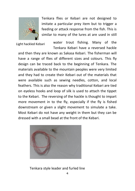

Tenkara flies or Kebari are not designed to imitate a particular prey item but to trigger a feeding or attack response from the fish. This is similar to many of the lures at are used in still

Light hackled Kebari

water trout fishing. Many of the Tenkara Kebari have a reversed hackle

and then they are known as Sakasa Kebari. The fisherman will have a range of flies of different sizes and colours. This fly design can be traced back to the beginning of Tenkara. The materials available to the mountain peoples were very limited and they had to create their Kebari out of the materials that were available such as sewing needles, cotton, and local feathers. This is also the reason why traditional Kebari are tied on eyeless hooks and loop of silk is used to attach the tippet to the Kebari. The reversing of the hackle is thought to impart more movement in to the fly, especially if the fly is fished downstream or given a slight movement to simulate a take. Most Kebari do not have any weight in them but they can be dressed with a small bead at the front of the Kebari.



#### Tenkara style leader and furled line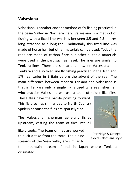## **Valsesiana**

originated.

Valsesiana is another ancient method of fly fishing practiced in the Sesia Valley in Northern Italy. Valsesiana is a method of fishing with a fixed line which is between 3.5 and 4.5 metres long attached to a long rod. Traditionally this fixed line was made of horse hair but other materials can be used. Today the rods are made of carbon fibre but other suitable materials were used in the past such as hazel. The lines are similar to Tenkara lines. There are similarities between Valsesiana and Tenkara and also fixed line fly fishing practiced in the 16th and 17th centuries in Britain before the advent of the reel. The main difference between modern Tenkara and Valsesiana is that in Tenkara only a single fly is used whereas fishermen who practice Valsesiana will use a team of spider like flies.

These flies have the hackle pointing forward. This fly also has similarities to North Country Spiders because the flies are sparsely tied.

The Valsesiana fisherman generally fishes upstream, casting the team of flies into all

likely spots. The team of flies are worked to elicit a take from the trout. The alpine streams of the Sesia valley are similar to



Partridge & Orange tided Valsesiana style

the mountain streams found in Japan where Tenkara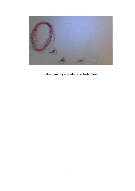

Valsesiana style leader and furled line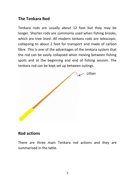## **The Tenkara Rod**

Tenkara rods are usually about 12 foot but they may be longer. Shorter rods are commonly used when fishing brooks, which are tree lined. All modern tenkara rods are telescopic, collapsing to about 2 foot for transport and made of carbon fibre. This is one of the advantages of the tenkara system that the rod can be easily collapsed when moving between fishing spots and at the beginning and end of fishing session. The tenkara rod can be kept set up between outings.



## **Rod actions**

There are three main Tenkara rod actions and they are summarised in the table.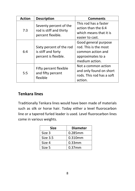| <b>Action</b> | <b>Description</b>                                                     | <b>Comments</b>           |
|---------------|------------------------------------------------------------------------|---------------------------|
| 7:3           | Seventy percent of the<br>rod is stiff and thirty<br>percent flexible. | This rod has a faster     |
|               |                                                                        | action than the 6:4       |
|               |                                                                        | which means that it is    |
|               |                                                                        | easier to cast.           |
| 6:4           |                                                                        | Good general purpose      |
|               | Sixty percent of the rod<br>is stiff and forty<br>percent is flexible. | rod. This is the most     |
|               |                                                                        | common action and         |
|               |                                                                        | approximates to a         |
|               |                                                                        | medium action.            |
| 5:5           | Fifty percent flexible<br>and fifty percent<br>flexible                | Not a common action       |
|               |                                                                        | and only found on short   |
|               |                                                                        | rods. This rod has a soft |
|               |                                                                        | action.                   |

## **Tenkara lines**

Traditionally Tenkara lines would have been made of materials such as silk or horse hair. Today either a level fluorocarbon line or a tapered furled leader is used. Level fluorocarbon lines come in various weights.

| Size     | <b>Diameter</b> |
|----------|-----------------|
| Size 3   | 0.285mm         |
| Size 3.5 | 0.310mm         |
| Size 4   | $0.33$ mm       |
| Size 5   | $0.37$ mm       |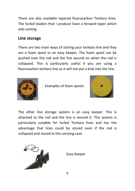There are also available tapered fluorocarbon Tenkara lines. The furled leaders that I produce have a forward taper which aids casting.

## **Line storage**

There are two main ways of storing your tenkara line and they are a foam spool or an easy keeper. The foam spool can be pushed over the rod and the line wound on when the rod is collapsed. This is particularly useful if you are using a fluorocarbon tenkara line as it will not put a kink into the line.



Examples of foam spools



The other line storage system is an easy keeper. This is attached to the rod and the line is wound it. This system is particularly suitable for furled Tenkara lines and has the advantage that lines could be stored even if the rod is collapsed and stored in the carrying case.



Easy Keeper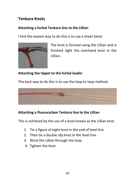## **Tenkara Knots**

#### **Attaching a furled Tenkara line to the Lillian**

I find the easiest way to do this is to use a sheet bend.



The knot is formed using the Lillian and is finished tight the overhand knot in the Lillian.

## **Attaching the tippet to the furled leader**

The best way to do this is to use the loop to loop method.



## **Attaching a fluorocarbon Tenkara line to the Lillian**

This is achieved by the use of a knot known as the Lillian knot.

- 1. Tie a figure of eight knot in the end of level line.
- 2. Then tie a double slip knot in the level line.
- 3. Wind the Lillian through the loop.
- 4. Tighten the knot.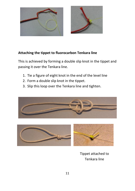

#### **Attaching the tippet to fluorocarbon Tenkara line**

This is achieved by forming a double slip knot in the tippet and passing it over the Tenkara line.

- 1. Tie a figure of eight knot in the end of the level line
- 2. Form a double slip knot in the tippet.
- 3. Slip this loop over the Tenkara line and tighten.





Tippet attached to Tenkara line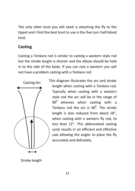The only other knot you will need is attaching the fly to the tippet and I find the best knot to use is the five turn half-blood knot.

## **Casting**

Casting a Tenkara rod is similar to casting a western style rod but the stroke length is shorter and the elbow should be held in to the side of the body. If you can cast a western you will not have a problem casting with a Tenkara rod.



This diagram illustrates the arc and stroke length when casting with a Tenkara rod. Typically when casting with a western style rod the arc will be in the range of  $90^0$  whereas when casting with a Tenkara rod the arc is  $60^0$ . The stroke length is also reduced from about 18", when casting with a western fly rod, to less than 12". This abbreviated casting cycle results in an efficient and effective cast allowing the angler to place the fly accurately and delicately.

Stroke length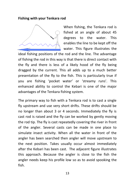#### **Fishing with your Tenkara rod**



When fishing, the Tenkara rod is fished at an angle of about 45 degrees to the water. This enables the line to be kept off the water. This figure illustrates the

ideal fishing positions of the rod and the line. The advantage of fishing the rod in this way is that there is direct contact with the fly and there is less of a likely hood of the fly being dragged by the current. This all adds up to a much better presentation of the fly to the fish. This is particularly true if you are fishing 'pocket water' or 'streamy runs'. This enhanced ability to control the Kebari is one of the major advantages of the Tenkara fishing system.

The primary way to fish with a Tenkara rod is to cast a single fly upstream and use very short drifts. These drifts should be no longer than about 3 or 4 seconds. Immediately the fly is cast rod is raised and the fly can be worked by gently moving the rod tip. The fly is cast repeatedly covering the river in front of the angler. Several casts can be made in one place to simulate insect activity. When all the water in front of the angler has been searched then angler will move upstream to the next position. Takes usually occur almost immediately after the Kebari has been cast. The adjacent figure illustrates this approach. Because the angler is close to the fish the angler needs keep his profile low so as to avoid spooking the fish.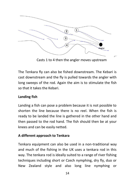

Casts 1 to 4 then the angler moves upstream

The Tenkara fly can also be fished downstream. The Kebari is cast downstream and the fly is pulled towards the angler with long sweeps of the rod. Again the aim is to stimulate the fish so that it takes the Kebari.

## **Landing fish**

Landing a fish can pose a problem because it is not possible to shorten the line because there is no reel. When the fish is ready to be landed the line is gathered in the other hand and then passed to the rod hand. The fish should then be at your knees and can be easily netted.

#### **A different approach to Tenkara**

Tenkara equipment can also be used in a non-traditional way and much of the fishing in the UK uses a tenkara rod in this way. The tenkara rod is ideally suited to a range of river fishing techniques including short or Czech nymphing, dry fly, duo or New Zealand style and also long line nymphing or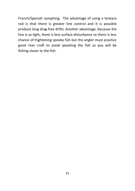French/Spanish nymphing. The advantage of using a tenkara rod is that there is greater line control and it is possible produce long drag-free drifts. Another advantage, because the line is so light, there is less surface disturbance so there is less chance of frightening spooky fish but the angler must practice good river craft to avoid spooking the fish as you will be fishing closer to the fish.